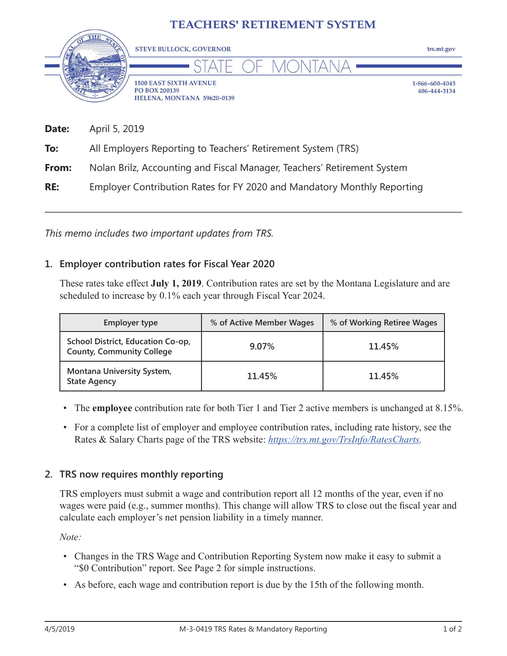## **TEACHERS' RETIREMENT SYSTEM**



| Date: | April 5, 2019                                                           |
|-------|-------------------------------------------------------------------------|
| To:   | All Employers Reporting to Teachers' Retirement System (TRS)            |
| From: | Nolan Brilz, Accounting and Fiscal Manager, Teachers' Retirement System |
| RE:   | Employer Contribution Rates for FY 2020 and Mandatory Monthly Reporting |

*This memo includes two important updates from TRS.*

## **1. Employer contribution rates for Fiscal Year 2020**

These rates take effect **July 1, 2019**. Contribution rates are set by the Montana Legislature and are scheduled to increase by 0.1% each year through Fiscal Year 2024.

| <b>Employer type</b>                                                  | % of Active Member Wages | % of Working Retiree Wages |  |  |  |
|-----------------------------------------------------------------------|--------------------------|----------------------------|--|--|--|
| School District, Education Co-op,<br><b>County, Community College</b> | 9.07%                    | 11.45%                     |  |  |  |
| Montana University System,<br><b>State Agency</b>                     | 11.45%                   | 11.45%                     |  |  |  |

- The **employee** contribution rate for both Tier 1 and Tier 2 active members is unchanged at 8.15%.
- For a complete list of employer and employee contribution rates, including rate history, see the Rates & Salary Charts page of the TRS website: *[https://trs.mt.gov/TrsInfo/RatesCharts.](https://trs.mt.gov/TrsInfo/RatesCharts)*

## **2. TRS now requires monthly reporting**

TRS employers must submit a wage and contribution report all 12 months of the year, even if no wages were paid (e.g., summer months). This change will allow TRS to close out the fiscal year and calculate each employer's net pension liability in a timely manner.

*Note:*

- Changes in the TRS Wage and Contribution Reporting System now make it easy to submit a "\$0 Contribution" report. See Page 2 for simple instructions.
- As before, each wage and contribution report is due by the 15th of the following month.